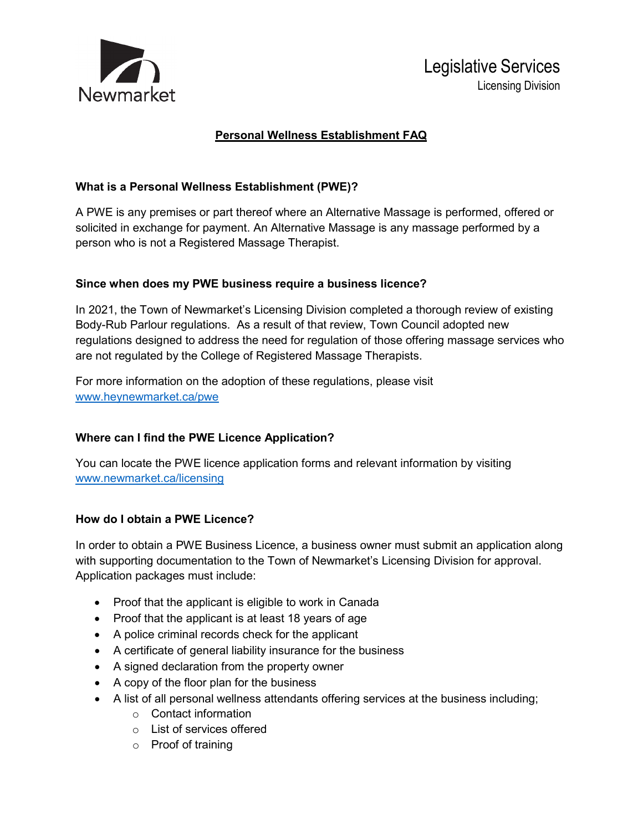

# Legislative Services Licensing Division

# **Personal Wellness Establishment FAQ**

## **What is a Personal Wellness Establishment (PWE)?**

A PWE is any premises or part thereof where an Alternative Massage is performed, offered or solicited in exchange for payment. An Alternative Massage is any massage performed by a person who is not a Registered Massage Therapist.

#### **Since when does my PWE business require a business licence?**

In 2021, the Town of Newmarket's Licensing Division completed a thorough review of existing Body-Rub Parlour regulations. As a result of that review, Town Council adopted new regulations designed to address the need for regulation of those offering massage services who are not regulated by the College of Registered Massage Therapists.

For more information on the adoption of these regulations, please visit [www.heynewmarket.ca/pwe](http://www.heynewmarket.ca/pwe)

## **Where can I find the PWE Licence Application?**

You can locate the PWE licence application forms and relevant information by visiting [www.newmarket.ca/licensing](http://www.newmarket.ca/licensing)

#### **How do I obtain a PWE Licence?**

In order to obtain a PWE Business Licence, a business owner must submit an application along with supporting documentation to the Town of Newmarket's Licensing Division for approval. Application packages must include:

- Proof that the applicant is eligible to work in Canada
- Proof that the applicant is at least 18 years of age
- A police criminal records check for the applicant
- A certificate of general liability insurance for the business
- A signed declaration from the property owner
- A copy of the floor plan for the business
- A list of all personal wellness attendants offering services at the business including;
	- o Contact information
	- o List of services offered
	- o Proof of training